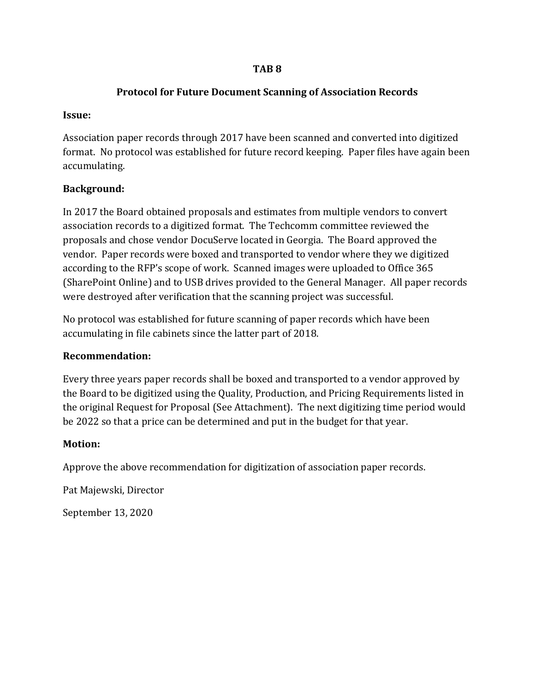## **TAB 8**

## **Protocol for Future Document Scanning of Association Records**

### **Issue:**

Association paper records through 2017 have been scanned and converted into digitized format. No protocol was established for future record keeping. Paper files have again been accumulating.

## **Background:**

In 2017 the Board obtained proposals and estimates from multiple vendors to convert association records to a digitized format. The Techcomm committee reviewed the proposals and chose vendor DocuServe located in Georgia. The Board approved the vendor. Paper records were boxed and transported to vendor where they we digitized according to the RFP's scope of work. Scanned images were uploaded to Office 365 (SharePoint Online) and to USB drives provided to the General Manager. All paper records were destroyed after verification that the scanning project was successful.

No protocol was established for future scanning of paper records which have been accumulating in file cabinets since the latter part of 2018.

## **Recommendation:**

Every three years paper records shall be boxed and transported to a vendor approved by the Board to be digitized using the Quality, Production, and Pricing Requirements listed in the original Request for Proposal (See Attachment). The next digitizing time period would be 2022 so that a price can be determined and put in the budget for that year.

## **Motion:**

Approve the above recommendation for digitization of association paper records.

Pat Majewski, Director

September 13, 2020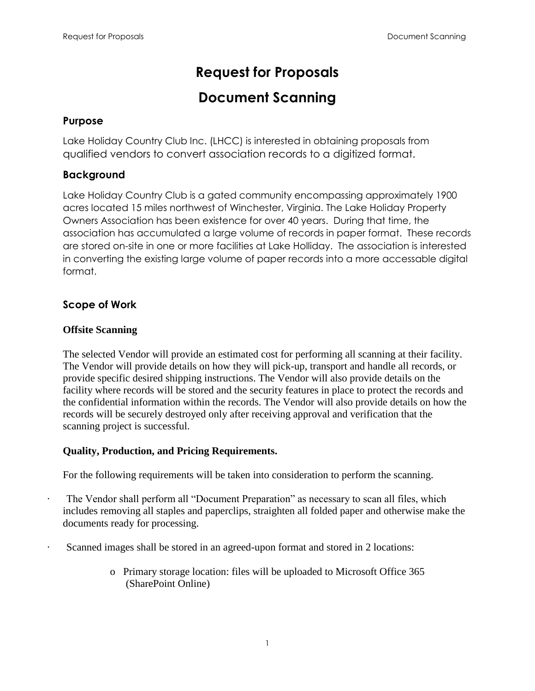# **Request for Proposals**

# **Document Scanning**

# **Purpose**

Lake Holiday Country Club Inc. (LHCC) is interested in obtaining proposals from qualified vendors to convert association records to a digitized format.

# **Background**

Lake Holiday Country Club is a gated community encompassing approximately 1900 acres located 15 miles northwest of Winchester, Virginia. The Lake Holiday Property Owners Association has been existence for over 40 years. During that time, the association has accumulated a large volume of records in paper format. These records are stored on-site in one or more facilities at Lake Holliday. The association is interested in converting the existing large volume of paper records into a more accessable digital format.

# **Scope of Work**

## **Offsite Scanning**

The selected Vendor will provide an estimated cost for performing all scanning at their facility. The Vendor will provide details on how they will pick-up, transport and handle all records, or provide specific desired shipping instructions. The Vendor will also provide details on the facility where records will be stored and the security features in place to protect the records and the confidential information within the records. The Vendor will also provide details on how the records will be securely destroyed only after receiving approval and verification that the scanning project is successful.

# **Quality, Production, and Pricing Requirements.**

For the following requirements will be taken into consideration to perform the scanning.

- The Vendor shall perform all "Document Preparation" as necessary to scan all files, which includes removing all staples and paperclips, straighten all folded paper and otherwise make the documents ready for processing.
- Scanned images shall be stored in an agreed-upon format and stored in 2 locations:
	- o Primary storage location: files will be uploaded to Microsoft Office 365 (SharePoint Online)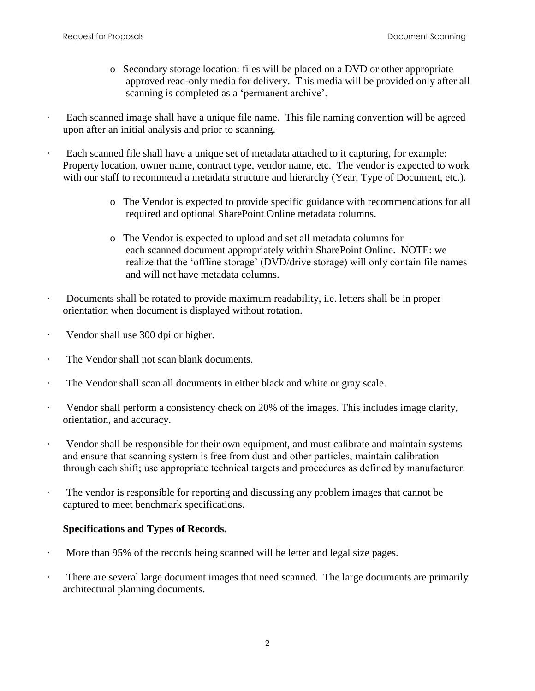- o Secondary storage location: files will be placed on a DVD or other appropriate approved read-only media for delivery. This media will be provided only after all scanning is completed as a 'permanent archive'.
- Each scanned image shall have a unique file name. This file naming convention will be agreed upon after an initial analysis and prior to scanning.
- Each scanned file shall have a unique set of metadata attached to it capturing, for example: Property location, owner name, contract type, vendor name, etc. The vendor is expected to work with our staff to recommend a metadata structure and hierarchy (Year, Type of Document, etc.).
	- o The Vendor is expected to provide specific guidance with recommendations for all required and optional SharePoint Online metadata columns.
	- o The Vendor is expected to upload and set all metadata columns for each scanned document appropriately within SharePoint Online. NOTE: we realize that the 'offline storage' (DVD/drive storage) will only contain file names and will not have metadata columns.
- · Documents shall be rotated to provide maximum readability, i.e. letters shall be in proper orientation when document is displayed without rotation.
- Vendor shall use 300 dpi or higher.
- The Vendor shall not scan blank documents.
- · The Vendor shall scan all documents in either black and white or gray scale.
- · Vendor shall perform a consistency check on 20% of the images. This includes image clarity, orientation, and accuracy.
- · Vendor shall be responsible for their own equipment, and must calibrate and maintain systems and ensure that scanning system is free from dust and other particles; maintain calibration through each shift; use appropriate technical targets and procedures as defined by manufacturer.
- · The vendor is responsible for reporting and discussing any problem images that cannot be captured to meet benchmark specifications.

#### **Specifications and Types of Records.**

- More than 95% of the records being scanned will be letter and legal size pages.
- There are several large document images that need scanned. The large documents are primarily architectural planning documents.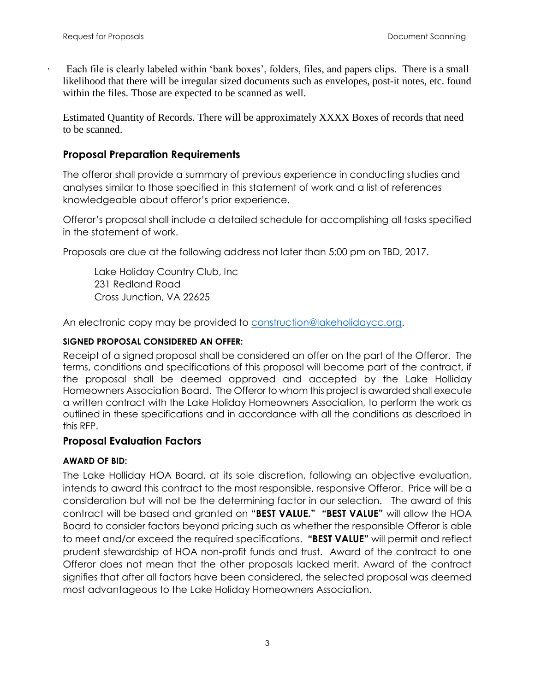Each file is clearly labeled within 'bank boxes', folders, files, and papers clips. There is a small likelihood that there will be irregular sized documents such as envelopes, post-it notes, etc. found within the files. Those are expected to be scanned as well.

Estimated Quantity of Records. There will be approximately XXXX Boxes of records that need to be scanned.

### **Proposal Preparation Requirements**

The offeror shall provide a summary of previous experience in conducting studies and analyses similar to those specified in this statement of work and a list of references knowledgeable about offeror's prior experience.

Offeror's proposal shall include a detailed schedule for accomplishing all tasks specified in the statement of work.

Proposals are due at the following address not later than 5:00 pm on TBD, 2017.

Lake Holiday Country Club, Inc 231 Redland Road Cross Junction, VA 22625

An electronic copy may be provided to [construction@lakeholidaycc.org.](mailto:construction@lakeholidaycc.org)

#### **SIGNED PROPOSAL CONSIDERED AN OFFER:**

Receipt of a signed proposal shall be considered an offer on the part of the Offeror. The terms, conditions and specifications of this proposal will become part of the contract, if the proposal shall be deemed approved and accepted by the Lake Holliday Homeowners Association Board. The Offeror to whom this project is awarded shall execute a written contract with the Lake Holiday Homeowners Association, to perform the work as outlined in these specifications and in accordance with all the conditions as described in this RFP.

#### **Proposal Evaluation Factors**

#### **AWARD OF BID:**

The Lake Holliday HOA Board, at its sole discretion, following an objective evaluation, intends to award this contract to the most responsible, responsive Offeror. Price will be a consideration but will not be the determining factor in our selection. The award of this contract will be based and granted on "**BEST VALUE." "BEST VALUE"** will allow the HOA Board to consider factors beyond pricing such as whether the responsible Offeror is able to meet and/or exceed the required specifications. **"BEST VALUE"** will permit and reflect prudent stewardship of HOA non-profit funds and trust. Award of the contract to one Offeror does not mean that the other proposals lacked merit. Award of the contract signifies that after all factors have been considered, the selected proposal was deemed most advantageous to the Lake Holiday Homeowners Association.